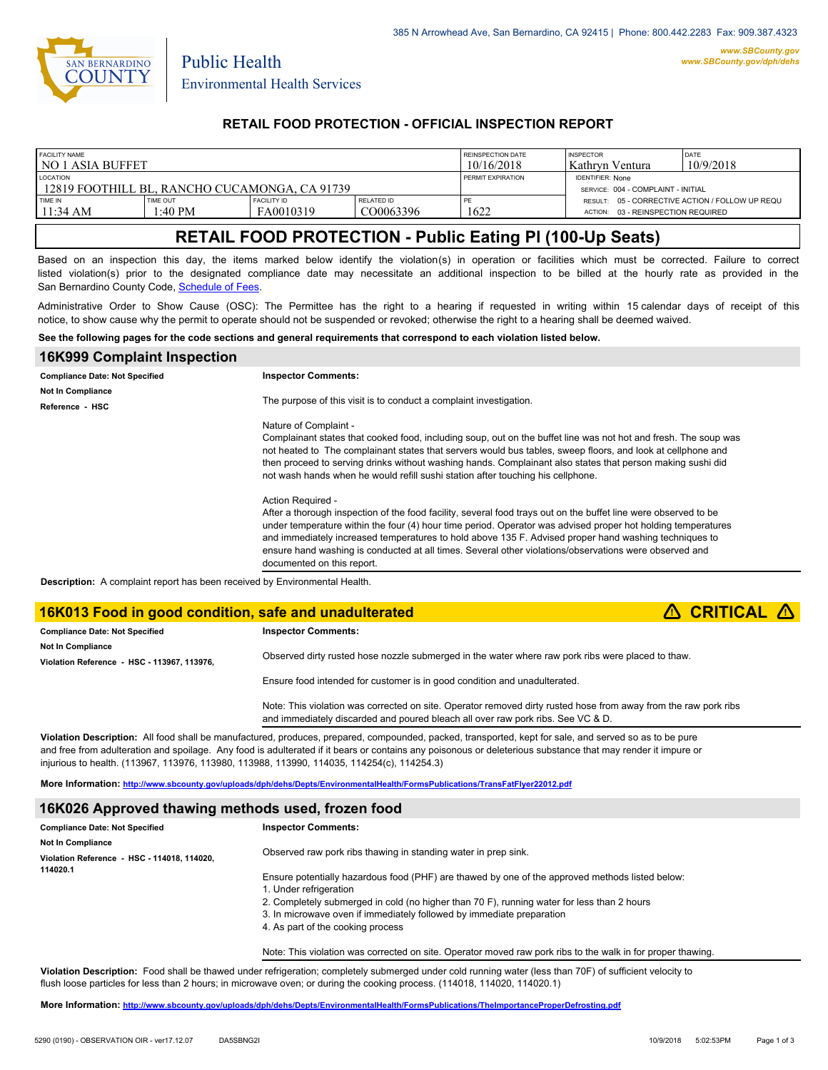

Public Health

#### **RETAIL FOOD PROTECTION - OFFICIAL INSPECTION REPORT**

| <b>FACILITY NAME</b><br>l no 1 asia buffet                       |                            |                                 |                         | REINSPECTION DATE<br>10/16/2018                               | <b>INSPECTOR</b><br>Kathryn Ventura                                                      | DATE<br>10/9/2018 |
|------------------------------------------------------------------|----------------------------|---------------------------------|-------------------------|---------------------------------------------------------------|------------------------------------------------------------------------------------------|-------------------|
| <b>LOCATION</b><br>12819 FOOTHILL BL. RANCHO CUCAMONGA. CA 91739 |                            |                                 | PERMIT EXPIRATION       | <b>IDENTIFIER: None</b><br>SERVICE: 004 - COMPLAINT - INITIAL |                                                                                          |                   |
| TIME IN<br>$11:34 \text{ AM}$                                    | <b>TIME OUT</b><br>1:40 PM | <b>FACILITY ID</b><br>FA0010319 | RELATED ID<br>CO0063396 | 1622                                                          | RESULT: 05 - CORRECTIVE ACTION / FOLLOW UP REQU<br>03 - REINSPECTION REQUIRED<br>ACTION: |                   |

## **RETAIL FOOD PROTECTION - Public Eating Pl (100-Up Seats)**

Based on an inspection this day, the items marked below identify the violation(s) in operation or facilities which must be corrected. Failure to correct listed violation(s) prior to the designated compliance date may necessitate an additional inspection to be billed at the hourly rate as provided in the San Bernardino County Code, Sc[hedule of Fees.](http://www.amlegal.com/nxt/gateway.dll/California/sanbernardinocounty_ca/title1governmentandadministration/division6countyfees/chapter2scheduleoffees?f=templates$fn=default.htm$3.0$vid=amlegal:sanbernardinocounty_ca$anc=JD_16.0213B)

Administrative Order to Show Cause (OSC): The Permittee has the right to a hearing if requested in writing within 15 calendar days of receipt of this notice, to show cause why the permit to operate should not be suspended or revoked; otherwise the right to a hearing shall be deemed waived.

**See the following pages for the code sections and general requirements that correspond to each violation listed below.**

| <b>16K999 Complaint Inspection</b>                                                |                                                                                                                                                                                                                                                                                                                                                                                                                                                                                                       |
|-----------------------------------------------------------------------------------|-------------------------------------------------------------------------------------------------------------------------------------------------------------------------------------------------------------------------------------------------------------------------------------------------------------------------------------------------------------------------------------------------------------------------------------------------------------------------------------------------------|
| <b>Compliance Date: Not Specified</b>                                             | <b>Inspector Comments:</b>                                                                                                                                                                                                                                                                                                                                                                                                                                                                            |
| <b>Not In Compliance</b>                                                          | The purpose of this visit is to conduct a complaint investigation.                                                                                                                                                                                                                                                                                                                                                                                                                                    |
| Reference - HSC                                                                   |                                                                                                                                                                                                                                                                                                                                                                                                                                                                                                       |
|                                                                                   | Nature of Complaint -<br>Complainant states that cooked food, including soup, out on the buffet line was not hot and fresh. The soup was<br>not heated to The complainant states that servers would bus tables, sweep floors, and look at cellphone and<br>then proceed to serving drinks without washing hands. Complainant also states that person making sushi did<br>not wash hands when he would refill sushi station after touching his cellphone.                                              |
|                                                                                   | Action Required -<br>After a thorough inspection of the food facility, several food trays out on the buffet line were observed to be<br>under temperature within the four (4) hour time period. Operator was advised proper hot holding temperatures<br>and immediately increased temperatures to hold above 135 F. Advised proper hand washing techniques to<br>ensure hand washing is conducted at all times. Several other violations/observations were observed and<br>documented on this report. |
| <b>Description:</b> A complaint report has been received by Environmental Health. |                                                                                                                                                                                                                                                                                                                                                                                                                                                                                                       |

#### **16K013 Food in good condition, safe and unadulterated <b>e Example 2 6 CRITICAL e**

| <b>Compliance Date: Not Specified</b>       | <b>Inspector Comments:</b>                                                                                                                                                                         |  |
|---------------------------------------------|----------------------------------------------------------------------------------------------------------------------------------------------------------------------------------------------------|--|
| <b>Not In Compliance</b>                    |                                                                                                                                                                                                    |  |
| Violation Reference - HSC - 113967, 113976. | Observed dirty rusted hose nozzle submerged in the water where raw pork ribs were placed to thaw.                                                                                                  |  |
|                                             | Ensure food intended for customer is in good condition and unadulterated.                                                                                                                          |  |
|                                             | Note: This violation was corrected on site. Operator removed dirty rusted hose from away from the raw pork ribs<br>and immediately discarded and poured bleach all over raw pork ribs. See VC & D. |  |

**Violation Description:** All food shall be manufactured, produces, prepared, compounded, packed, transported, kept for sale, and served so as to be pure and free from adulteration and spoilage. Any food is adulterated if it bears or contains any poisonous or deleterious substance that may render it impure or injurious to health. (113967, 113976, 113980, 113988, 113990, 114035, 114254(c), 114254.3)

**More Information: <http://www.sbcounty.gov/uploads/dph/dehs/Depts/EnvironmentalHealth/FormsPublications/TransFatFlyer22012.pdf>**

#### **16K026 Approved thawing methods used, frozen food**

| <b>Compliance Date: Not Specified</b>       | <b>Inspector Comments:</b>                                                                                                                                                                                                                                                                                                            |
|---------------------------------------------|---------------------------------------------------------------------------------------------------------------------------------------------------------------------------------------------------------------------------------------------------------------------------------------------------------------------------------------|
| Not In Compliance                           |                                                                                                                                                                                                                                                                                                                                       |
| Violation Reference - HSC - 114018, 114020, | Observed raw pork ribs thawing in standing water in prep sink.                                                                                                                                                                                                                                                                        |
| 114020.1                                    | Ensure potentially hazardous food (PHF) are thawed by one of the approved methods listed below:<br>1. Under refrigeration<br>2. Completely submerged in cold (no higher than 70 F), running water for less than 2 hours<br>3. In microwave oven if immediately followed by immediate preparation<br>4. As part of the cooking process |

Note: This violation was corrected on site. Operator moved raw pork ribs to the walk in for proper thawing.

**Violation Description:** Food shall be thawed under refrigeration; completely submerged under cold running water (less than 70F) of sufficient velocity to flush loose particles for less than 2 hours; in microwave oven; or during the cooking process. (114018, 114020, 114020.1)

**More Information: <http://www.sbcounty.gov/uploads/dph/dehs/Depts/EnvironmentalHealth/FormsPublications/TheImportanceProperDefrosting.pdf>**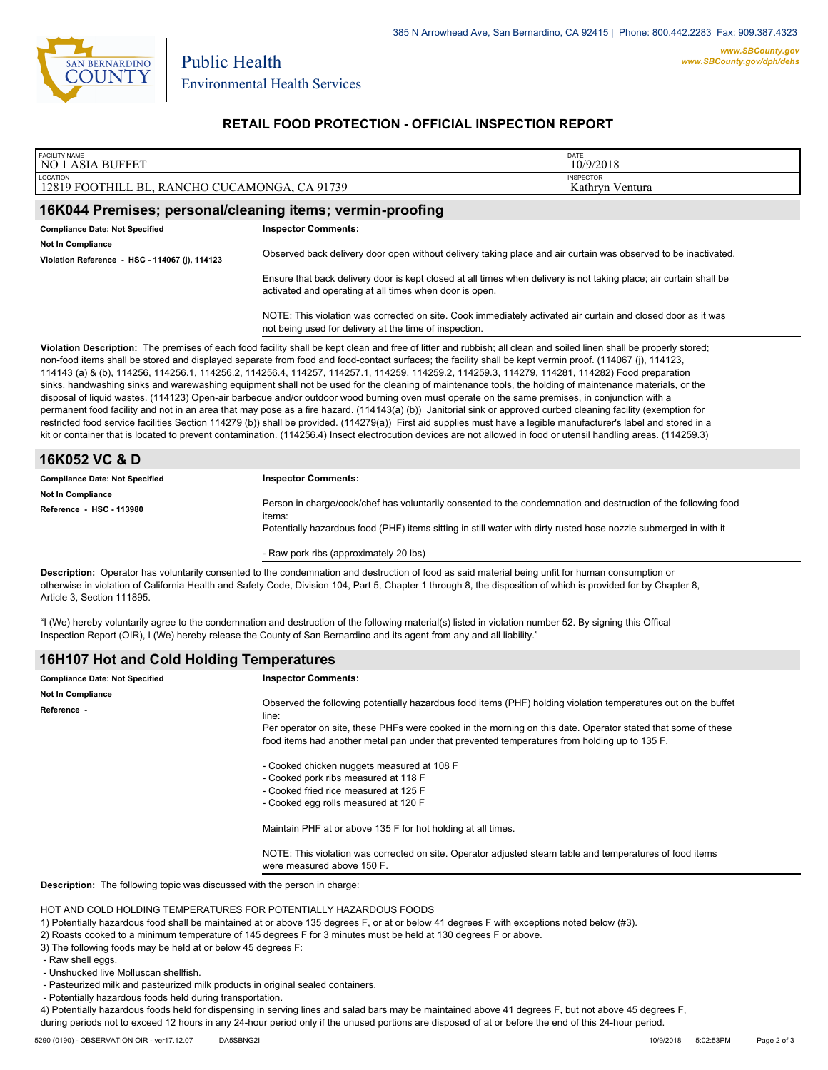

Environmental Health Services

Public Health

### **RETAIL FOOD PROTECTION - OFFICIAL INSPECTION REPORT**

| <b>FACILITY NAME</b><br><b>NO 1 ASIA BUFFET</b>                                                                                                                                                                                                                                                                                                                                                                                                                                                                                                                                                                                                                                                                                                                                                                                                                                                                                                                                                                                                                                                                                                                                                                                                                                                            |                                                                                                                                                                               | DATE<br>10/9/2018                   |  |
|------------------------------------------------------------------------------------------------------------------------------------------------------------------------------------------------------------------------------------------------------------------------------------------------------------------------------------------------------------------------------------------------------------------------------------------------------------------------------------------------------------------------------------------------------------------------------------------------------------------------------------------------------------------------------------------------------------------------------------------------------------------------------------------------------------------------------------------------------------------------------------------------------------------------------------------------------------------------------------------------------------------------------------------------------------------------------------------------------------------------------------------------------------------------------------------------------------------------------------------------------------------------------------------------------------|-------------------------------------------------------------------------------------------------------------------------------------------------------------------------------|-------------------------------------|--|
| LOCATION<br>12819 FOOTHILL BL, RANCHO CUCAMONGA, CA 91739                                                                                                                                                                                                                                                                                                                                                                                                                                                                                                                                                                                                                                                                                                                                                                                                                                                                                                                                                                                                                                                                                                                                                                                                                                                  |                                                                                                                                                                               | <b>INSPECTOR</b><br>Kathryn Ventura |  |
| 16K044 Premises; personal/cleaning items; vermin-proofing                                                                                                                                                                                                                                                                                                                                                                                                                                                                                                                                                                                                                                                                                                                                                                                                                                                                                                                                                                                                                                                                                                                                                                                                                                                  |                                                                                                                                                                               |                                     |  |
| <b>Compliance Date: Not Specified</b><br><b>Not In Compliance</b><br>Violation Reference - HSC - 114067 (j), 114123                                                                                                                                                                                                                                                                                                                                                                                                                                                                                                                                                                                                                                                                                                                                                                                                                                                                                                                                                                                                                                                                                                                                                                                        | <b>Inspector Comments:</b><br>Observed back delivery door open without delivery taking place and air curtain was observed to be inactivated.                                  |                                     |  |
|                                                                                                                                                                                                                                                                                                                                                                                                                                                                                                                                                                                                                                                                                                                                                                                                                                                                                                                                                                                                                                                                                                                                                                                                                                                                                                            | Ensure that back delivery door is kept closed at all times when delivery is not taking place; air curtain shall be<br>activated and operating at all times when door is open. |                                     |  |
|                                                                                                                                                                                                                                                                                                                                                                                                                                                                                                                                                                                                                                                                                                                                                                                                                                                                                                                                                                                                                                                                                                                                                                                                                                                                                                            | NOTE: This violation was corrected on site. Cook immediately activated air curtain and closed door as it was<br>not being used for delivery at the time of inspection.        |                                     |  |
| Violation Description: The premises of each food facility shall be kept clean and free of litter and rubbish; all clean and soiled linen shall be properly stored;<br>non-food items shall be stored and displayed separate from food and food-contact surfaces; the facility shall be kept vermin proof. (114067 (j), 114123,<br>114143 (a) & (b), 114256, 114256.1, 114256.2, 114256.4, 114257, 114257.1, 114259, 114259.2, 114259.3, 114279, 114281, 114282) Food preparation<br>sinks, handwashing sinks and warewashing equipment shall not be used for the cleaning of maintenance tools, the holding of maintenance materials, or the<br>disposal of liquid wastes. (114123) Open-air barbecue and/or outdoor wood burning oven must operate on the same premises, in conjunction with a<br>permanent food facility and not in an area that may pose as a fire hazard. (114143(a) (b)) Janitorial sink or approved curbed cleaning facility (exemption for<br>restricted food service facilities Section 114279 (b)) shall be provided. (114279(a)) First aid supplies must have a legible manufacturer's label and stored in a<br>kit or container that is located to prevent contamination. (114256.4) Insect electrocution devices are not allowed in food or utensil handling areas. (114259.3) |                                                                                                                                                                               |                                     |  |
| 16K052 VC & D                                                                                                                                                                                                                                                                                                                                                                                                                                                                                                                                                                                                                                                                                                                                                                                                                                                                                                                                                                                                                                                                                                                                                                                                                                                                                              |                                                                                                                                                                               |                                     |  |
| <b>Compliance Date: Not Specified</b>                                                                                                                                                                                                                                                                                                                                                                                                                                                                                                                                                                                                                                                                                                                                                                                                                                                                                                                                                                                                                                                                                                                                                                                                                                                                      | <b>Inspector Comments:</b>                                                                                                                                                    |                                     |  |
| <b>Not In Compliance</b><br>Reference HSC - 113980                                                                                                                                                                                                                                                                                                                                                                                                                                                                                                                                                                                                                                                                                                                                                                                                                                                                                                                                                                                                                                                                                                                                                                                                                                                         | Person in charge/cook/chef has voluntarily consented to the condemnation and destruction of the following food<br>items:                                                      |                                     |  |
|                                                                                                                                                                                                                                                                                                                                                                                                                                                                                                                                                                                                                                                                                                                                                                                                                                                                                                                                                                                                                                                                                                                                                                                                                                                                                                            | Potentially hazardous food (PHF) items sitting in still water with dirty rusted hose nozzle submerged in with it                                                              |                                     |  |
|                                                                                                                                                                                                                                                                                                                                                                                                                                                                                                                                                                                                                                                                                                                                                                                                                                                                                                                                                                                                                                                                                                                                                                                                                                                                                                            | - Raw pork ribs (approximately 20 lbs)                                                                                                                                        |                                     |  |
| Description: Operator has voluntarily consented to the condemnation and destruction of food as said material being unfit for human consumption or<br>otherwise in violation of California Health and Safety Code, Division 104, Part 5, Chapter 1 through 8, the disposition of which is provided for by Chapter 8,<br>Article 3, Section 111895.                                                                                                                                                                                                                                                                                                                                                                                                                                                                                                                                                                                                                                                                                                                                                                                                                                                                                                                                                          |                                                                                                                                                                               |                                     |  |
| "I (We) hereby voluntarily agree to the condemnation and destruction of the following material(s) listed in violation number 52. By signing this Offical<br>Inspection Report (OIR), I (We) hereby release the County of San Bernardino and its agent from any and all liability."                                                                                                                                                                                                                                                                                                                                                                                                                                                                                                                                                                                                                                                                                                                                                                                                                                                                                                                                                                                                                         |                                                                                                                                                                               |                                     |  |
| 16H107 Hot and Cold Holding Temperatures                                                                                                                                                                                                                                                                                                                                                                                                                                                                                                                                                                                                                                                                                                                                                                                                                                                                                                                                                                                                                                                                                                                                                                                                                                                                   |                                                                                                                                                                               |                                     |  |

| Not In Compliance                                                                                                                                                                                            |  |
|--------------------------------------------------------------------------------------------------------------------------------------------------------------------------------------------------------------|--|
|                                                                                                                                                                                                              |  |
| Observed the following potentially hazardous food items (PHF) holding violation temperatures out on the buffet<br>Reference -<br>line:                                                                       |  |
| Per operator on site, these PHFs were cooked in the morning on this date. Operator stated that some of these<br>food items had another metal pan under that prevented temperatures from holding up to 135 F. |  |
| - Cooked chicken nuggets measured at 108 F                                                                                                                                                                   |  |
| - Cooked pork ribs measured at 118 F                                                                                                                                                                         |  |
| - Cooked fried rice measured at 125 F                                                                                                                                                                        |  |
| - Cooked egg rolls measured at 120 F                                                                                                                                                                         |  |
| Maintain PHF at or above 135 F for hot holding at all times.                                                                                                                                                 |  |
| NOTE: This violation was corrected on site. Operator adjusted steam table and temperatures of food items<br>were measured above 150 F.                                                                       |  |
| <b>Description:</b> The following topic was discussed with the person in charge:                                                                                                                             |  |

#### HOT AND COLD HOLDING TEMPERATURES FOR POTENTIALLY HAZARDOUS FOODS

- 1) Potentially hazardous food shall be maintained at or above 135 degrees F, or at or below 41 degrees F with exceptions noted below (#3).
- 2) Roasts cooked to a minimum temperature of 145 degrees F for 3 minutes must be held at 130 degrees F or above.
- 3) The following foods may be held at or below 45 degrees F:
- Raw shell eggs.
- Unshucked live Molluscan shellfish.
- Pasteurized milk and pasteurized milk products in original sealed containers.
- Potentially hazardous foods held during transportation.

4) Potentially hazardous foods held for dispensing in serving lines and salad bars may be maintained above 41 degrees F, but not above 45 degrees F,

during periods not to exceed 12 hours in any 24-hour period only if the unused portions are disposed of at or before the end of this 24-hour period.